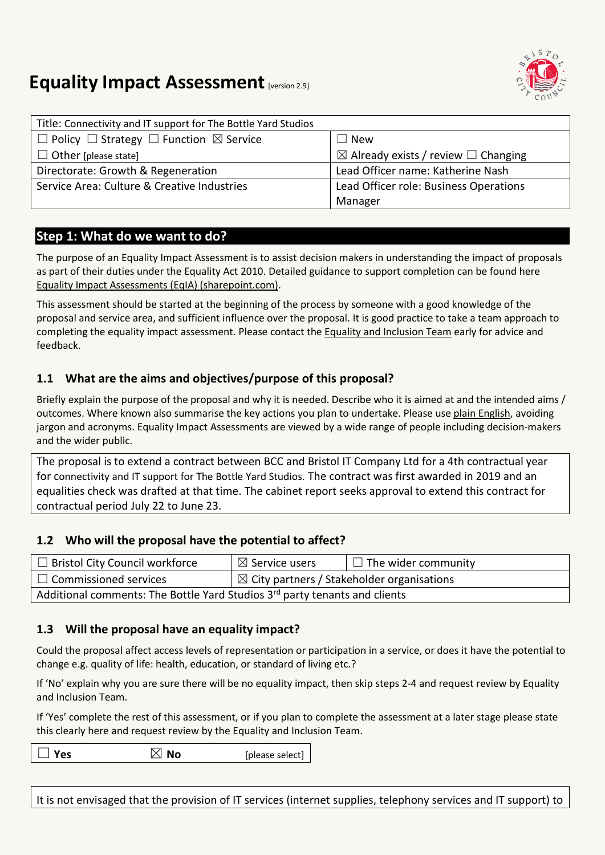

# **Equality Impact Assessment [version 2.9]**

| Title: Connectivity and IT support for The Bottle Yard Studios    |                                                     |
|-------------------------------------------------------------------|-----------------------------------------------------|
| $\Box$ Policy $\Box$ Strategy $\Box$ Function $\boxtimes$ Service | <b>New</b>                                          |
| $\Box$ Other [please state]                                       | $\boxtimes$ Already exists / review $\Box$ Changing |
| Directorate: Growth & Regeneration                                | Lead Officer name: Katherine Nash                   |
| Service Area: Culture & Creative Industries                       | Lead Officer role: Business Operations              |
|                                                                   | Manager                                             |

#### **Step 1: What do we want to do?**

The purpose of an Equality Impact Assessment is to assist decision makers in understanding the impact of proposals as part of their duties under the Equality Act 2010. Detailed guidance to support completion can be found here [Equality Impact Assessments \(EqIA\) \(sharepoint.com\).](https://bristolcouncil.sharepoint.com/sites/Corporate/SitePages/equality-impact-assessments.aspx) 

This assessment should be started at the beginning of the process by someone with a good knowledge of the proposal and service area, and sufficient influence over the proposal. It is good practice to take a team approach to completing the equality impact assessment. Please contact the [Equality and Inclusion Team](mailto:equalities.team@bristol.gov.uk) early for advice and feedback.

### **1.1 What are the aims and objectives/purpose of this proposal?**

Briefly explain the purpose of the proposal and why it is needed. Describe who it is aimed at and the intended aims / outcomes. Where known also summarise the key actions you plan to undertake. Please us[e plain English,](http://www.plainenglish.co.uk/) avoiding jargon and acronyms. Equality Impact Assessments are viewed by a wide range of people including decision-makers and the wider public.

The proposal is to extend a contract between BCC and Bristol IT Company Ltd for a 4th contractual year for connectivity and IT support for The Bottle Yard Studios. The contract was first awarded in 2019 and an equalities check was drafted at that time. The cabinet report seeks approval to extend this contract for contractual period July 22 to June 23.

#### **1.2 Who will the proposal have the potential to affect?**

| $\Box$ Bristol City Council workforce                                      | $\boxtimes$ Service users                             | $\Box$ The wider community |  |
|----------------------------------------------------------------------------|-------------------------------------------------------|----------------------------|--|
| $\Box$ Commissioned services                                               | $\boxtimes$ City partners / Stakeholder organisations |                            |  |
| Additional comments: The Bottle Yard Studios 3rd party tenants and clients |                                                       |                            |  |

#### **1.3 Will the proposal have an equality impact?**

Could the proposal affect access levels of representation or participation in a service, or does it have the potential to change e.g. quality of life: health, education, or standard of living etc.?

If 'No' explain why you are sure there will be no equality impact, then skip steps 2-4 and request review by Equality and Inclusion Team.

If 'Yes' complete the rest of this assessment, or if you plan to complete the assessment at a later stage please state this clearly here and request review by the [Equality and Inclusion Team.](mailto:equalities.team@bristol.gov.uk)

 $\Box$  **Yes**  $\Box$  **No** [please select]

It is not envisaged that the provision of IT services (internet supplies, telephony services and IT support) to